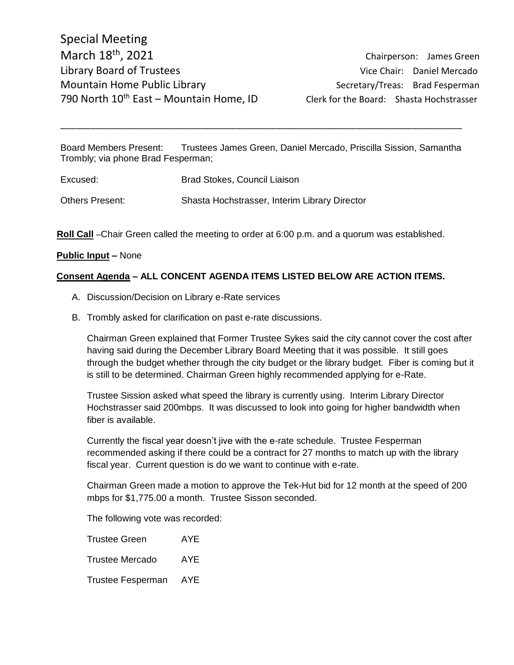Board Members Present: Trustees James Green, Daniel Mercado, Priscilla Sission, Samantha Trombly; via phone Brad Fesperman;

\_\_\_\_\_\_\_\_\_\_\_\_\_\_\_\_\_\_\_\_\_\_\_\_\_\_\_\_\_\_\_\_\_\_\_\_\_\_\_\_\_\_\_\_\_\_\_\_\_\_\_\_\_\_\_\_\_\_\_\_\_\_\_\_\_\_\_\_\_\_\_\_\_\_\_\_\_\_\_\_

Excused: Brad Stokes, Council Liaison

Others Present: Shasta Hochstrasser, Interim Library Director

**Roll Call** –Chair Green called the meeting to order at 6:00 p.m. and a quorum was established.

## **Public Input –** None

## **Consent Agenda – ALL CONCENT AGENDA ITEMS LISTED BELOW ARE ACTION ITEMS.**

- A. Discussion/Decision on Library e-Rate services
- B. Trombly asked for clarification on past e-rate discussions.

Chairman Green explained that Former Trustee Sykes said the city cannot cover the cost after having said during the December Library Board Meeting that it was possible. It still goes through the budget whether through the city budget or the library budget. Fiber is coming but it is still to be determined. Chairman Green highly recommended applying for e-Rate.

Trustee Sission asked what speed the library is currently using. Interim Library Director Hochstrasser said 200mbps. It was discussed to look into going for higher bandwidth when fiber is available.

Currently the fiscal year doesn't jive with the e-rate schedule. Trustee Fesperman recommended asking if there could be a contract for 27 months to match up with the library fiscal year. Current question is do we want to continue with e-rate.

Chairman Green made a motion to approve the Tek-Hut bid for 12 month at the speed of 200 mbps for \$1,775.00 a month. Trustee Sisson seconded.

The following vote was recorded:

| <b>Trustee Green</b>   | AYE. |
|------------------------|------|
| <b>Trustee Mercado</b> | AYE. |

Trustee Fesperman AYE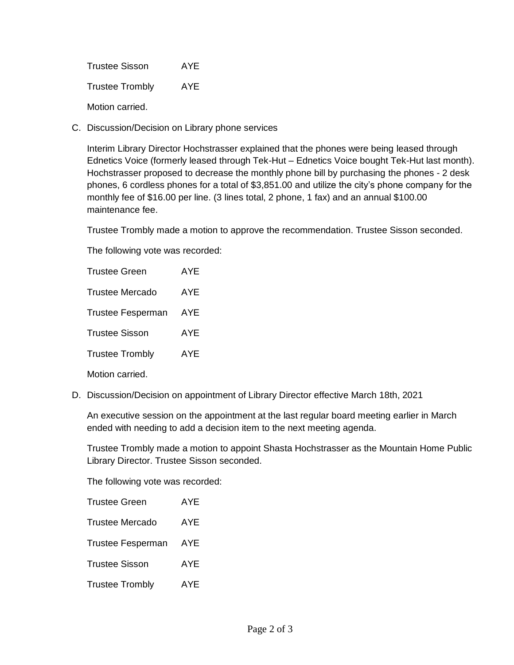Trustee Sisson AYE Trustee Trombly AYE Motion carried.

C. Discussion/Decision on Library phone services

Interim Library Director Hochstrasser explained that the phones were being leased through Ednetics Voice (formerly leased through Tek-Hut – Ednetics Voice bought Tek-Hut last month). Hochstrasser proposed to decrease the monthly phone bill by purchasing the phones - 2 desk phones, 6 cordless phones for a total of \$3,851.00 and utilize the city's phone company for the monthly fee of \$16.00 per line. (3 lines total, 2 phone, 1 fax) and an annual \$100.00 maintenance fee.

Trustee Trombly made a motion to approve the recommendation. Trustee Sisson seconded.

The following vote was recorded:

| <b>Trustee Green</b>     | AYF        |
|--------------------------|------------|
| Trustee Mercado          | AYE        |
| <b>Trustee Fesperman</b> | AYE        |
| <b>Trustee Sisson</b>    | <b>AYE</b> |
| <b>Trustee Trombly</b>   | <b>AYE</b> |
| Motion carried.          |            |

D. Discussion/Decision on appointment of Library Director effective March 18th, 2021

An executive session on the appointment at the last regular board meeting earlier in March ended with needing to add a decision item to the next meeting agenda.

Trustee Trombly made a motion to appoint Shasta Hochstrasser as the Mountain Home Public Library Director. Trustee Sisson seconded.

The following vote was recorded:

| <b>Trustee Green</b>     | <b>AYE</b> |
|--------------------------|------------|
| <b>Trustee Mercado</b>   | AYE        |
| <b>Trustee Fesperman</b> | AYE        |
| <b>Trustee Sisson</b>    | AYE        |
| <b>Trustee Trombly</b>   | AYE        |